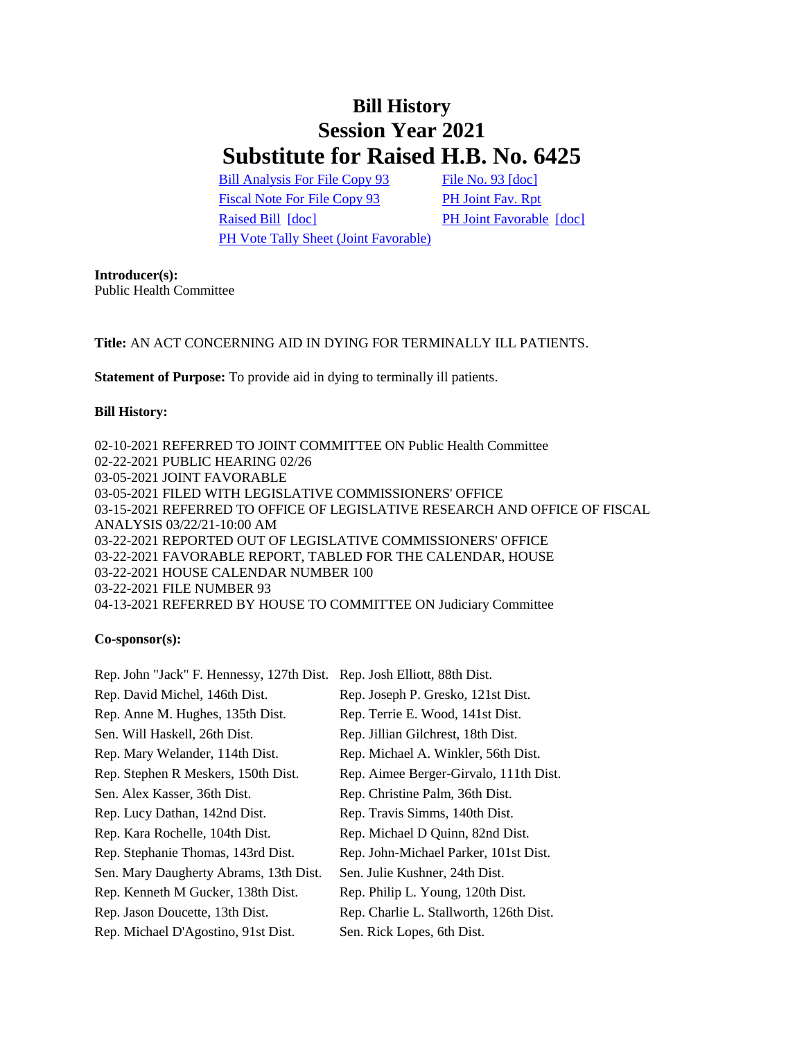## **Bill History Session Year 2021 Substitute for Raised H.B. No. 6425**

[Bill Analysis For File Copy 93](/2021/BA/PDF/2021HB-06425-R000093-BA.PDF) [File No. 93](/2021/FC/PDF/2021HB-06425-R000093-FC.PDF) [\[doc\]](/2021/FC/PDF/2021HB-06425-R000093-FC.PDF) [Fiscal Note For File Copy 93](/2021/FN/PDF/2021HB-06425-R000093-FN.PDF) [PH Joint Fav. Rpt](/2021/JFR/H/PDF/2021HB-06425-R00PH-JFR.PDF) [Raised Bill](/2021/TOB/H/PDF/2021HB-06425-R00-HB.PDF) [\[doc\]](https://search.cga.state.ct.us/dl2021/TOB/DOC/2021HB-06425-R01-HB.DOCX) [PH Joint Favorable](/2021/TOB/H/PDF/2021HB-06425-R01-HB.PDF) [doc] [PH Vote Tally Sheet \(Joint Favorable\)](/2021/TS/H/PDF/2021HB-06425-R00PH-CV69-TS.PDF)

**Introducer(s):** Public Health Committee

**Title:** AN ACT CONCERNING AID IN DYING FOR TERMINALLY ILL PATIENTS.

**Statement of Purpose:** To provide aid in dying to terminally ill patients.

## **Bill History:**

02-10-2021 REFERRED TO JOINT COMMITTEE ON Public Health Committee 02-22-2021 PUBLIC HEARING 02/26 03-05-2021 JOINT FAVORABLE 03-05-2021 FILED WITH LEGISLATIVE COMMISSIONERS' OFFICE 03-15-2021 REFERRED TO OFFICE OF LEGISLATIVE RESEARCH AND OFFICE OF FISCAL ANALYSIS 03/22/21-10:00 AM 03-22-2021 REPORTED OUT OF LEGISLATIVE COMMISSIONERS' OFFICE 03-22-2021 FAVORABLE REPORT, TABLED FOR THE CALENDAR, HOUSE 03-22-2021 HOUSE CALENDAR NUMBER 100 03-22-2021 FILE NUMBER 93 04-13-2021 REFERRED BY HOUSE TO COMMITTEE ON Judiciary Committee

## **Co-sponsor(s):**

| Rep. John "Jack" F. Hennessy, 127th Dist. | Rep. Josh Elliott, 88th Dist.           |
|-------------------------------------------|-----------------------------------------|
| Rep. David Michel, 146th Dist.            | Rep. Joseph P. Gresko, 121st Dist.      |
| Rep. Anne M. Hughes, 135th Dist.          | Rep. Terrie E. Wood, 141st Dist.        |
| Sen. Will Haskell, 26th Dist.             | Rep. Jillian Gilchrest, 18th Dist.      |
| Rep. Mary Welander, 114th Dist.           | Rep. Michael A. Winkler, 56th Dist.     |
| Rep. Stephen R Meskers, 150th Dist.       | Rep. Aimee Berger-Girvalo, 111th Dist.  |
| Sen. Alex Kasser, 36th Dist.              | Rep. Christine Palm, 36th Dist.         |
| Rep. Lucy Dathan, 142nd Dist.             | Rep. Travis Simms, 140th Dist.          |
| Rep. Kara Rochelle, 104th Dist.           | Rep. Michael D Quinn, 82nd Dist.        |
| Rep. Stephanie Thomas, 143rd Dist.        | Rep. John-Michael Parker, 101st Dist.   |
| Sen. Mary Daugherty Abrams, 13th Dist.    | Sen. Julie Kushner, 24th Dist.          |
| Rep. Kenneth M Gucker, 138th Dist.        | Rep. Philip L. Young, 120th Dist.       |
| Rep. Jason Doucette, 13th Dist.           | Rep. Charlie L. Stallworth, 126th Dist. |
| Rep. Michael D'Agostino, 91st Dist.       | Sen. Rick Lopes, 6th Dist.              |
|                                           |                                         |